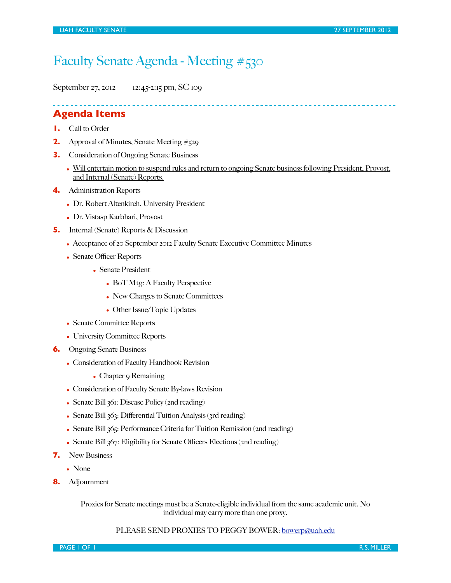# Faculty Senate Agenda - Meeting #530

September 27, 2012 12:45-2:15 pm, SC 109

### **Agenda Items**

- **1.** Call to Order
- **2.** Approval of Minutes, Senate Meeting #529
- **3.** Consideration of Ongoing Senate Business
	- Will entertain motion to suspend rules and return to ongoing Senate business following President, Provost, and Internal (Senate) Reports.
- **4.** Administration Reports
	- Dr. Robert Altenkirch, University President
	- Dr. Vistasp Karbhari, Provost
- **5.** Internal (Senate) Reports & Discussion
	- Acceptance of 20 September 2012 Faculty Senate Executive Committee Minutes
	- Senate Officer Reports
		- Senate President
			- BoT Mtg: A Faculty Perspective
			- New Charges to Senate Committees
			- Other Issue/Topic Updates
	- Senate Committee Reports
	- University Committee Reports
- **6.** Ongoing Senate Business
	- Consideration of Faculty Handbook Revision
		- Chapter 9 Remaining
	- Consideration of Faculty Senate By-laws Revision
	- Senate Bill 361: Disease Policy (2nd reading)
	- Senate Bill  $363$ : Differential Tuition Analysis ( $3rd$  reading)
	- Senate Bill 365: Performance Criteria for Tuition Remission (2nd reading)
	- Senate Bill  $367$ : Eligibility for Senate Officers Elections (2nd reading)
- **7.** New Business
	- None
- **8.** Adjournment

Proxies for Senate meetings must be a Senate-eligible individual from the same academic unit. No individual may carry more than one proxy.

### PLEASE SEND PROXIES TO PEGGY BOWER: [bowerp@uah.edu](mailto:bowerp@uah.edu)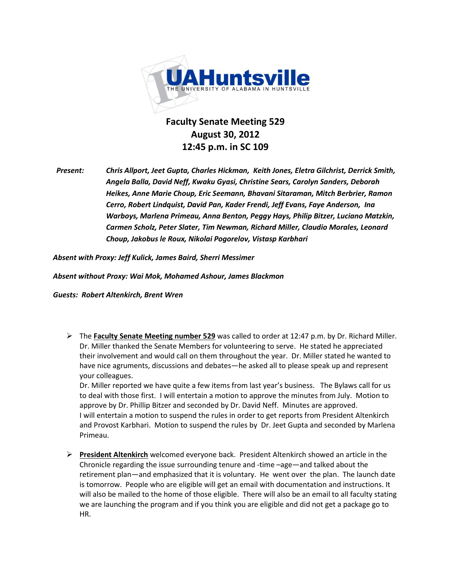

## **Faculty Senate Meeting 529 August(30,(2012 12:45 p.m. in SC 109**

*Present:* Chris Allport, Jeet Gupta, Charles Hickman, Keith Jones, Eletra Gilchrist, Derrick Smith, Angela Balla, David Neff, Kwaku Gyasi, Christine Sears, Carolyn Sanders, Deborah Heikes, Anne Marie Choup, Eric Seemann, Bhavani Sitaraman, Mitch Berbrier, Ramon *Cerro, Robert Lindquist, David Pan, Kader Frendi, Jeff Evans, Faye Anderson, Ina Warboys,(Marlena(Primeau,(Anna(Benton,(Peggy(Hays,(Philip(Bitzer, Luciano(Matzkin,( Carmen(Scholz,(Peter(Slater,(Tim Newman, Richard(Miller,(Claudio(Morales,(Leonard(* Choup, Jakobus le Roux, Nikolai Pogorelov, Vistasp Karbhari

Absent with Proxy: Jeff Kulick, James Baird, Sherri Messimer

*Absent(without(Proxy: Wai(Mok,(Mohamed(Ashour,(James(Blackmon*

**Guests: Robert Altenkirch, Brent Wren** 

**►** The **Faculty Senate Meeting number 529** was called to order at 12:47 p.m. by Dr. Richard Miller. Dr. Miller thanked the Senate Members for volunteering to serve. He stated he appreciated their involvement and would call on them throughout the year. Dr. Miller stated he wanted to have nice agruments, discussions and debates—he asked all to please speak up and represent your colleagues.

Dr. Miller reported we have quite a few items from last year's business. The Bylaws call for us to deal with those first. I will entertain a motion to approve the minutes from July. Motion to approve by Dr. Phillip Bitzer and seconded by Dr. David Neff. Minutes are approved. I will entertain a motion to suspend the rules in order to get reports from President Altenkirch and Provost Karbhari. Motion to suspend the rules by Dr. Jeet Gupta and seconded by Marlena Primeau.

**► President Altenkirch** welcomed everyone back. President Altenkirch showed an article in the Chronicle regarding the issue surrounding tenure and -time  $\frac{1}{\sqrt{2}}$  and talked about the retirement plan—and emphasized that it is voluntary. He went over the plan. The launch date is tomorrow. People who are eligible will get an email with documentation and instructions. It will also be mailed to the home of those eligible. There will also be an email to all faculty stating we are launching the program and if you think you are eligible and did not get a package go to HR.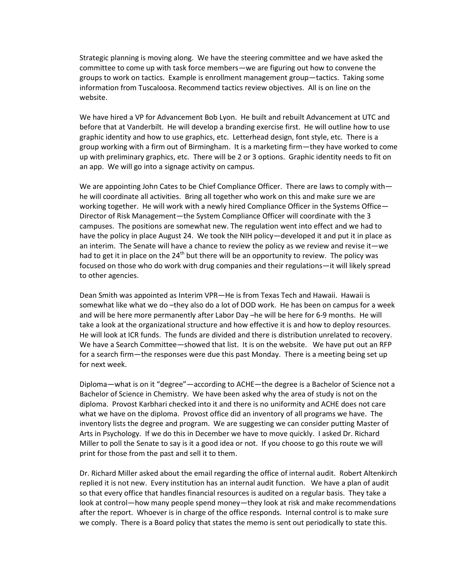Strategic planning is moving along. We have the steering committee and we have asked the committee to come up with task force members—we are figuring out how to convene the groups to work on tactics. Example is enrollment management group—tactics. Taking some information from Tuscaloosa. Recommend tactics review objectives. All is on line on the website.

We have hired a VP for Advancement Bob Lyon. He built and rebuilt Advancement at UTC and before that at Vanderbilt. He will develop a branding exercise first. He will outline how to use graphic identity and how to use graphics, etc. Letterhead design, font style, etc. There is a group working with a firm out of Birmingham. It is a marketing firm—they have worked to come up with preliminary graphics, etc. There will be 2 or 3 options. Graphic identity needs to fit on an app.) We will go into a signage activity on campus.

We are appointing John Cates to be Chief Compliance Officer. There are laws to comply with he will coordinate all activities. Bring all together who work on this and make sure we are working together. He will work with a newly hired Compliance Officer in the Systems Office -Director of Risk Management—the System Compliance Officer will coordinate with the 3 campuses. The positions are somewhat new. The regulation went into effect and we had to have the policy in place August 24. We took the NIH policy—developed it and put it in place as an interim. The Senate will have a chance to review the policy as we review and revise it—we had to get it in place on the 24<sup>th</sup> but there will be an opportunity to review. The policy was focused on those who do work with drug companies and their regulations—it will likely spread to other agencies.

Dean Smith was appointed as Interim VPR-He is from Texas Tech and Hawaii. Hawaii is somewhat like what we do -they also do a lot of DOD work. He has been on campus for a week and will be here more permanently after Labor Day -he will be here for 6-9 months. He will take a look at the organizational structure and how effective it is and how to deploy resources. He will look at ICR funds. The funds are divided and there is distribution unrelated to recovery. We have a Search Committee - showed that list. It is on the website. We have put out an RFP for a search firm—the responses were due this past Monday. There is a meeting being set up for next week.

Diploma—what is on it "degree"—according to ACHE—the degree is a Bachelor of Science not a Bachelor of Science in Chemistry. We have been asked why the area of study is not on the diploma.) Provost Karbhari checked into it and there is no uniformity and ACHE does not care what we have on the diploma. Provost office did an inventory of all programs we have. The inventory lists the degree and program. We are suggesting we can consider putting Master of Arts in Psychology. If we do this in December we have to move quickly. I asked Dr. Richard Miller to poll the Senate to say is it a good idea or not. If you choose to go this route we will print for those from the past and sell it to them.

Dr. Richard Miller asked about the email regarding the office of internal audit. Robert Altenkirch replied it is not new. Every institution has an internal audit function. We have a plan of audit so)that every office that handles financial resources is audited on a regular basis. They take a look at control—how many people spend money—they look at risk and make recommendations after the report. Whoever is in charge of the office responds. Internal control is to make sure we comply. There is a Board policy that states the memo is sent out periodically to state this.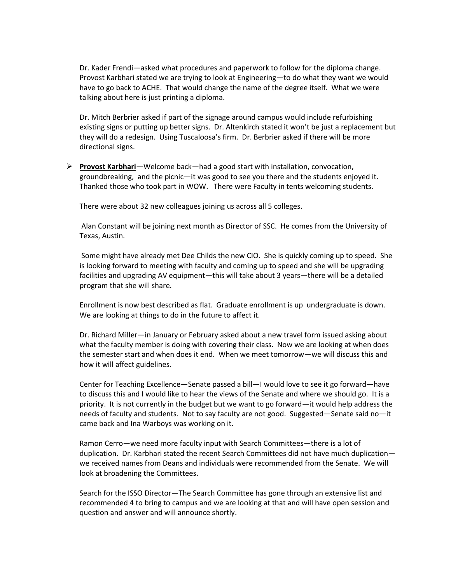Dr. Kader Frendi-asked what procedures and paperwork to follow for the diploma change. Provost Karbhari stated we are trying to look at Engineering — to do what they want we would have to go back to ACHE. That would change the name of the degree itself. What we were talking about here is just printing a diploma.

Dr. Mitch Berbrier asked if part of the signage around campus would include refurbishing existing signs or putting up better signs. Dr. Altenkirch stated it won't be just a replacement but they will do a redesign. Using Tuscaloosa's firm. Dr. Berbrier asked if there will be more directional signs.

 $▶$  **Provost Karbhari**—Welcome back—had a good start with installation, convocation, groundbreaking, and the picnic—it was good to see you there and the students enjoyed it. Thanked those who took part in WOW. There were Faculty in tents welcoming students.

There were about 32 new colleagues joining us across all 5 colleges.

Alan Constant will be joining next month as Director of SSC. He comes from the University of Texas, Austin.!

Some might have already met Dee Childs the new CIO. She is quickly coming up to speed. She is looking forward to meeting with faculty and coming up to speed and she will be upgrading facilities and upgrading AV equipment—this will take about 3 years—there will be a detailed program that she will share.

Enrollment is now best described as flat. Graduate enrollment is up undergraduate is down. We are looking at things to do in the future to affect it.

Dr. Richard Miller—in January or February asked about a new travel form issued asking about what the faculty member is doing with covering their class. Now we are looking at when does the semester start and when does it end. When we meet tomorrow-we will discuss this and how it will affect guidelines.

Center for Teaching Excellence - Senate passed a bill - I would love to see it go forward - have to discuss this and I would like to hear the views of the Senate and where we should go. It is a priority. It is not currently in the budget but we want to go forward—it would help address the needs of faculty and students. Not to say faculty are not good. Suggested–Senate said no–it came back and Ina Warboys was working on it.

Ramon Cerro-we need more faculty input with Search Committees-there is a lot of duplication. Dr. Karbhari stated the recent Search Committees did not have much duplicationwe received names from Deans and individuals were recommended from the Senate. We will look at broadening the Committees.

Search for the ISSO Director–The Search Committee has gone through an extensive list and recommended 4 to bring to campus and we are looking at that and will have open session and question and answer and will announce shortly.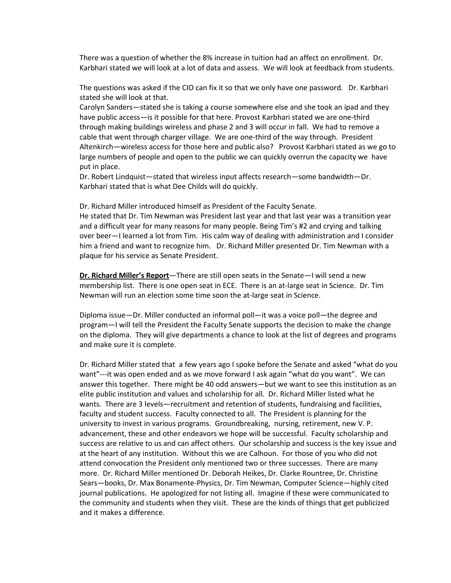There was a question of whether the 8% increase in tuition had an affect on enrollment. Dr. Karbhari stated we will look at a lot of data and assess. We will look at feedback from students.

The questions was asked if the CIO can fix it so that we only have one password. Dr. Karbhari stated she will look at that.

Carolyn Sanders—stated she is taking a course somewhere else and she took an ipad and they have public access-is it possible for that here. Provost Karbhari stated we are one-third through making buildings wireless and phase 2 and 3 will occur in fall. We had to remove a cable that went through charger village. We are one-third of the way through. President Altenkirch—wireless access for those here and public also? Provost Karbhari stated as we go to large numbers of people and open to the public we can quickly overrun the capacity we have put in place.

Dr. Robert Lindquist—stated that wireless input affects research—some bandwidth—Dr. Karbhari stated that is what Dee Childs will do quickly.

Dr. Richard Miller introduced himself as President of the Faculty Senate.

He stated that Dr. Tim Newman was President last year and that last year was a transition year and a difficult year for many reasons for many people. Being Tim's #2 and crying and talking over beer–I learned a lot from Tim. His calm way of dealing with administration and I consider him a friend and want to recognize him. Dr. Richard Miller presented Dr. Tim Newman with a plaque for his service as Senate President.

**Dr. Richard Miller's Report**—There are still open seats in the Senate—I will send a new membership list. There is one open seat in ECE. There is an at-large seat in Science. Dr. Tim Newman will run an election some time soon the at-large seat in Science.

Diploma issue-Dr. Miller conducted an informal poll-it was a voice poll-the degree and program–I will tell the President the Faculty Senate supports the decision to make the change on the diploma. They will give departments a chance to look at the list of degrees and programs and make sure it is complete.

Dr. Richard Miller stated that a few years ago I spoke before the Senate and asked "what do you want"---it was open ended and as we move forward I ask again "what do you want". We can answer this together. There might be 40 odd answers—but we want to see this institution as an elite public institution and values and scholarship for all. Dr. Richard Miller listed what he wants. There are 3 levels–recruitment and retention of students, fundraising and facilities, faculty and student success. Faculty connected to all. The President is planning for the university to invest in various programs. Groundbreaking, nursing, retirement, new V.P. advancement, these and other endeavors we hope will be successful. Faculty scholarship and success are relative to us and can affect others. Our scholarship and success is the key issue and at the heart of any institution. Without this we are Calhoun. For those of you who did not attend convocation the President only mentioned two or three successes. There are many more. Dr. Richard Miller mentioned Dr. Deborah Heikes, Dr. Clarke Rountree, Dr. Christine Sears-books, Dr. Max Bonamente-Physics, Dr. Tim Newman, Computer Science-highly cited journal publications. He apologized for not listing all. Imagine if these were communicated to the community and students when they visit. These are the kinds of things that get publicized and it makes a difference.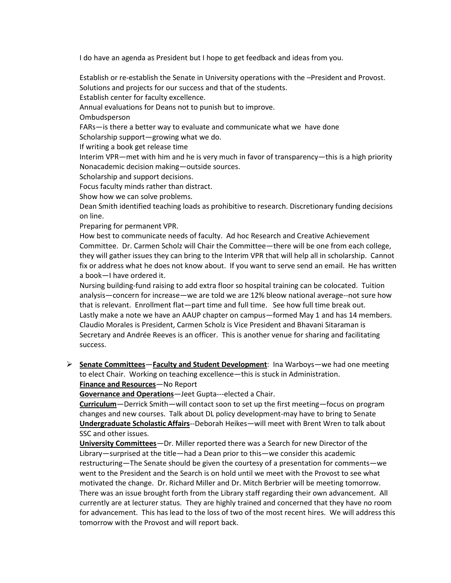I do have an agenda as President but I hope to get feedback and ideas from you.

Establish or re-establish the Senate in University operations with the -President and Provost. Solutions and projects for our success and that of the students.

Establish center for faculty excellence.

Annual evaluations for Deans not to punish but to improve.

**Ombudsperson** 

FARs—is there a better way to evaluate and communicate what we have done

Scholarship support-growing what we do.

If writing a book get release time

Interim VPR—met with him and he is very much in favor of transparency—this is a high priority Nonacademic decision making — outside sources.

Scholarship and support decisions.

Focus faculty minds rather than distract.

Show how we can solve problems.

Dean Smith identified teaching loads as prohibitive to research. Discretionary funding decisions on line.

Preparing for permanent VPR.

How best to communicate needs of faculty. Ad hoc Research and Creative Achievement Committee. Dr. Carmen Scholz will Chair the Committee–there will be one from each college, they will gather issues they can bring to the Interim VPR that will help all in scholarship. Cannot fix or address what he does not know about. If you want to serve send an email. He has written a book-I have ordered it.

Nursing building-fund raising to add extra floor so hospital training can be colocated. Tuition analysis – concern for increase – we are told we are 12% bleow national average--not sure how that is relevant. Enrollment flat—part time and full time. See how full time break out. Lastly make a note we have an AAUP chapter on campus–formed May 1 and has 14 members. Claudio Morales is President, Carmen Scholz is Vice President and Bhavani Sitaraman is Secretary and Andrée Reeves is an officer. This is another venue for sharing and facilitating success.

 $▶$  **Senate Committees** – Faculty and Student Development: Ina Warboys – we had one meeting to elect Chair. Working on teaching excellence—this is stuck in Administration. **Finance and Resources** - No Report

**Governance and Operations**—Jeet Gupta---elected a Chair.

**Curriculum** – Derrick Smith – will contact soon to set up the first meeting – focus on program changes and new courses. Talk about DL policy development-may have to bring to Senate **Undergraduate Scholastic Affairs**--Deborah Heikes-will meet with Brent Wren to talk about SSC and other issues.

**University Committees** – Dr. Miller reported there was a Search for new Director of the Library-surprised at the title-had a Dean prior to this-we consider this academic restructuring—The Senate should be given the courtesy of a presentation for comments—we went to the President and the Search is on hold until we meet with the Provost to see what motivated the change." Dr. Richard Miller and Dr. Mitch Berbrier will be meeting tomorrow. There was an issue brought forth from the Library staff regarding their own advancement. All currently are at lecturer status. They are highly trained and concerned that they have no room for advancement. This has lead to the loss of two of the most recent hires. We will address this tomorrow with the Provost and will report back.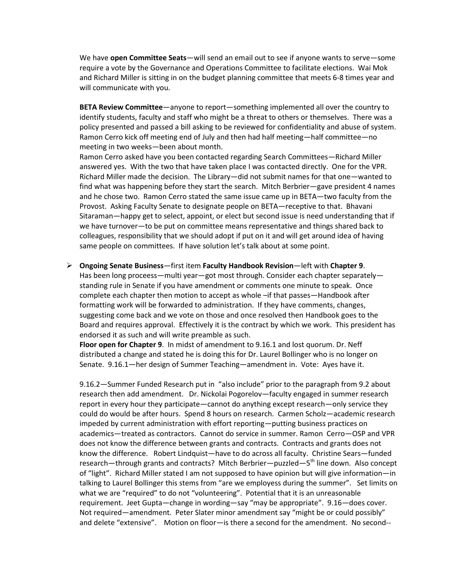We have **open Committee Seats**—will send an email out to see if anyone wants to serve—some require a vote by the Governance and Operations Committee to facilitate elections. Wai Mok and Richard Miller is sitting in on the budget planning committee that meets 6-8 times year and will communicate with you.

**BETA Review Committee**—anyone to report—something implemented all over the country to identify students, faculty and staff who might be a threat to others or themselves. There was a policy presented and passed a bill asking to be reviewed for confidentiality and abuse of system. Ramon Cerro kick off meeting end of July and then had half meeting-half committee-no meeting in two weeks-been about month.

Ramon Cerro asked have you been contacted regarding Search Committees-Richard Miller answered yes. With the two that have taken place I was contacted directly. One for the VPR. Richard Miller made the decision. The Library—did not submit names for that one—wanted to find what was happening before they start the search. Mitch Berbrier–gave president 4 names and he chose two. Ramon Cerro stated the same issue came up in BETA-two faculty from the Provost. Asking Faculty Senate to designate people on BETA–receptive to that. Bhavani Sitaraman-happy get to select, appoint, or elect but second issue is need understanding that if we have turnover-to be put on committee means representative and things shared back to colleagues, responsibility that we should adopt if put on it and will get around idea of having same people on committees. If have solution let's talk about at some point.

### $\triangleright$  **Ongoing Senate Business**—first item **Faculty Handbook Revision**—left with Chapter 9.

Has been long proceess—multi year—got most through. Consider each chapter separately standing rule in Senate if you have amendment or comments one minute to speak. Once complete each chapter then motion to accept as whole –if that passes—Handbook after formatting work will be forwarded to administration. If they have comments, changes, suggesting come back and we vote on those and once resolved then Handbook goes to the Board and requires approval. Effectively it is the contract by which we work. This president has endorsed it as such and will write preamble as such.

**Floor open for Chapter 9.** In midst of amendment to 9.16.1 and lost quorum. Dr. Neff distributed a change and stated he is doing this for Dr. Laurel Bollinger who is no longer on Senate. 9.16.1 her design of Summer Teaching - amendment in. Vote: Ayes have it.

9.16.2 – Summer Funded Research put in "also include" prior to the paragraph from 9.2 about research then add amendment. Dr. Nickolai Pogorelov–faculty engaged in summer research report in every hour they participate—cannot do anything except research—only service they could do would be after hours. Spend 8 hours on research. Carmen Scholz—academic research impeded by current administration with effort reporting—putting business practices on academics-treated as contractors. Cannot do service in summer. Ramon Cerro-OSP and VPR does not know the difference between grants and contracts. Contracts and grants does not know the difference. Robert Lindquist-have to do across all faculty. Christine Sears-funded research—through grants and contracts? Mitch Berbrier—puzzled—5<sup>th</sup> line down. Also concept of "light". Richard Miller stated I am not supposed to have opinion but will give information-in talking to Laurel Bollinger this stems from "are we employess during the summer". Set limits on what we are "required" to do not "volunteering". Potential that it is an unreasonable requirement. Jeet Gupta—change in wording—say "may be appropriate". 9.16—does cover. Not required—amendment. Peter Slater minor amendment say "might be or could possibly" and delete "extensive". Motion on floor—is there a second for the amendment. No second--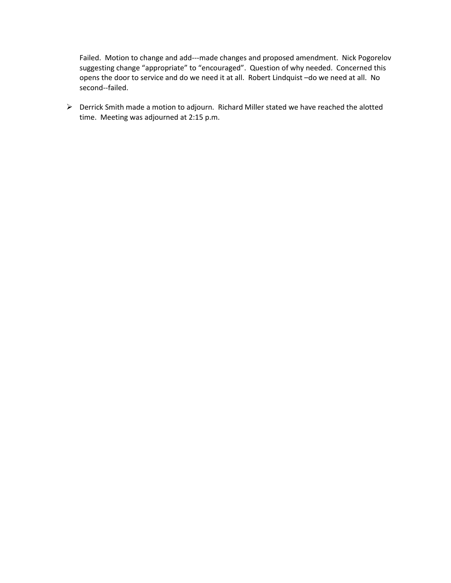Failed. Motion to change and add---made changes and proposed amendment. Nick Pogorelov suggesting change "appropriate" to "encouraged". Question of why needed. Concerned this opens the door to service and do we need it at all. Robert Lindquist -do we need at all. No second--failed.

 $\triangleright$  Derrick Smith made a motion to adjourn. Richard Miller stated we have reached the alotted time. Meeting was adjourned at 2:15 p.m.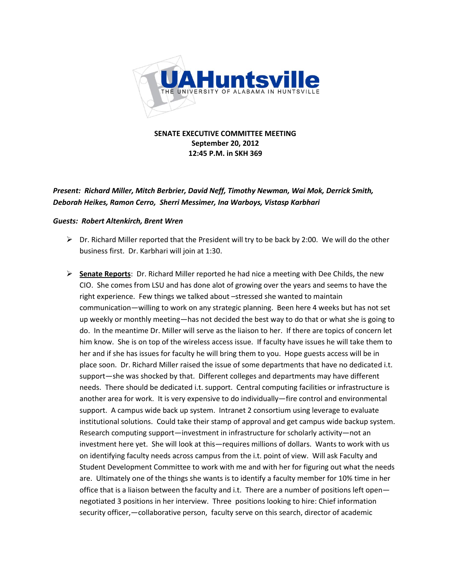

**SENATE EXECUTIVE COMMITTEE MEETING September&20,&2012 12:45 P.M. in SKH 369** 

*Present: Richard Miller, Mitch Berbrier, David Neff, Timothy Newman, Wai Mok, Derrick Smith, Deborah(Heikes,(Ramon(Cerro,((Sherri(Messimer,(Ina(Warboys,(Vistasp(Karbhari*

### **Guests: Robert Altenkirch, Brent Wren**

- $\triangleright$  Dr. Richard Miller reported that the President will try to be back by 2:00. We will do the other business first. Dr. Karbhari will join at 1:30.
- $\triangleright$  **Senate Reports**: Dr. Richard Miller reported he had nice a meeting with Dee Childs, the new CIO. She comes from LSU and has done alot of growing over the years and seems to have the right experience. Few things we talked about -stressed she wanted to maintain communication-willing to work on any strategic planning. Been here 4 weeks but has not set up weekly or monthly meeting-has not decided the best way to do that or what she is going to do. In the meantime Dr. Miller will serve as the liaison to her. If there are topics of concern let him know. She is on top of the wireless access issue. If faculty have issues he will take them to her and if she has issues for faculty he will bring them to you. Hope guests access will be in place soon. Dr. Richard Miller raised the issue of some departments that have no dedicated i.t. support-she was shocked by that. Different colleges and departments may have different needs. There should be dedicated i.t. support. Central computing facilities or infrastructure is another area for work. It is very expensive to do individually–fire control and environmental support. A campus wide back up system. Intranet 2 consortium using leverage to evaluate institutional solutions. Could take their stamp of approval and get campus wide backup system. Research computing support—investment in infrastructure for scholarly activity—not an investment here yet. She will look at this—requires millions of dollars. Wants to work with us on identifying faculty needs across campus from the i.t. point of view. Will ask Faculty and Student Development Committee to work with me and with her for figuring out what the needs are. Ultimately one of the things she wants is to identify a faculty member for 10% time in her office that is a liaison between the faculty and i.t. There are a number of positions left open negotiated 3 positions in her interview. Three positions looking to hire: Chief information security officer, - collaborative person, faculty serve on this search, director of academic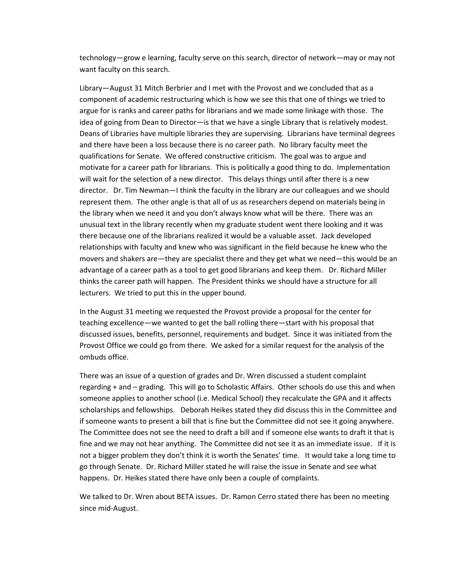technology—grow e learning, faculty serve on this search, director of network—may or may not want faculty on this search.

Library–August 31 Mitch Berbrier and I met with the Provost and we concluded that as a component of academic restructuring which is how we see this that one of things we tried to argue for is ranks and career paths for librarians and we made some linkage with those. The idea of going from Dean to Director– is that we have a single Library that is relatively modest. Deans of Libraries have multiple libraries they are supervising. Librarians have terminal degrees and there have been a loss because there is no career path. No library faculty meet the qualifications for Senate. We offered constructive criticism. The goal was to argue and motivate for a career path for librarians. This is politically a good thing to do. Implementation will wait for the selection of a new director. This delays things until after there is a new director. Dr. Tim Newman–I think the faculty in the library are our colleagues and we should represent them. The other angle is that all of us as researchers depend on materials being in the, library when, we need it and you don't always know what will be there. There was an unusual text in the library recently when my graduate student went there looking and it was there because one of the librarians realized it would be a valuable asset. Jack developed relationships with faculty and knew who was significant in the field because he knew who the movers and shakers are—they are specialist there and they get what we need—this would be an advantage of a career path as a tool to get good librarians and keep them. Dr. Richard Miller thinks the career path will happen. The President thinks we should have a structure for all lecturers. We tried to put this in the upper bound.

In the August 31 meeting we requested the Provost provide a proposal for the center for teaching excellence—we wanted to get the ball rolling there—start with his proposal that discussed issues, benefits, personnel, requirements and budget. Since it was initiated from the Provost Office we could go from there. We asked for a similar request for the analysis of the ombuds office.

There was an issue of a question of grades and Dr. Wren discussed a student complaint regarding + and - grading. This will go to Scholastic Affairs. Other schools do use this and when someone applies to another school (i.e. Medical School) they recalculate the GPA and it affects scholarships and fellowships. Deborah Heikes stated they did discuss this in the Committee and if someone wants to present a bill that is fine but the Committee did not see it going anywhere. The Committee does not see the need to draft a bill and if someone else wants to draft it that is fine and we may not hear anything. The Committee did not see it as an immediate issue. If it is not a bigger problem they don't think it is worth the Senates' time. It would take a long time to go,through Senate., Dr. Richard Miller stated he will raise the issue in Senate and see what happens., Dr., Heikes stated there have only been a couple of complaints.

We talked to Dr. Wren about BETA issues. Dr. Ramon Cerro stated there has been no meeting since mid-August.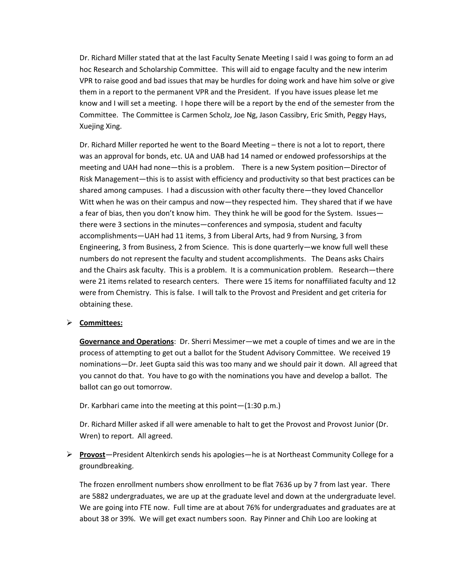Dr. Richard Miller stated that at the last Faculty Senate Meeting I said I was going to form an ad hoc Research and Scholarship Committee. This will aid to engage faculty and the new interim VPR to raise good and bad issues that may be hurdles for doing work and have him solve or give them in a report to the permanent VPR and the President. If you have issues please let me know and I will set a meeting. I hope there will be a report by the end of the semester from the Committee. The Committee is Carmen Scholz, Joe Ng, Jason Cassibry, Eric Smith, Peggy Hays, Xuejing Xing.

Dr. Richard Miller reported he went to the Board Meeting – there is not a lot to report, there was an approval for bonds, etc. UA and UAB had 14 named or endowed professorships at the meeting and UAH had none-this is a problem. There is a new System position-Director of Risk Management—this is to assist with efficiency and productivity so that best practices can be shared among campuses. I had a discussion with other faculty there–they loved Chancellor Witt when he was on their campus and now—they respected him. They shared that if we have a fear of bias, then you don't know him. They think he will be good for the System. Issues there were 3 sections in the minutes–conferences and symposia, student and faculty accomplishments-UAH had 11 items, 3 from Liberal Arts, had 9 from Nursing, 3 from Engineering, 3 from Business, 2 from Science. This is done quarterly—we know full well these numbers do not represent the faculty and student accomplishments. The Deans asks Chairs and the Chairs ask faculty. This is a problem. It is a communication problem. Research–there were 21 items related to research centers. There were 15 items for nonaffiliated faculty and 12 were from Chemistry. This is false. I will talk to the Provost and President and get criteria for obtaining these.

### ¾ **Committees:**

**Governance and Operations**: Dr. Sherri Messimer—we met a couple of times and we are in the process of attempting to get out a ballot for the Student Advisory Committee. We received 19 nominations-Dr. Jeet Gupta said this was too many and we should pair it down. All agreed that you cannot do that. You have to go with the nominations you have and develop a ballot. The ballot can go out tomorrow.

#### Dr. Karbhari came into the meeting at this point $-(1:30 \text{ p.m.})$

Dr. Richard Miller asked if all were amenable to halt to get the Provost and Provost Junior (Dr. Wren) to report. All agreed.

 $▶$  **Provost**—President Altenkirch sends his apologies—he is at Northeast Community College for a groundbreaking.

The frozen enrollment numbers show enrollment to be flat 7636 up by 7 from last year. There are 5882 undergraduates, we are up at the graduate level and down at the undergraduate level. We are going into FTE now. Full time are at about 76% for undergraduates and graduates are at about 38 or 39%. We will get exact numbers soon. Ray Pinner and Chih Loo are looking at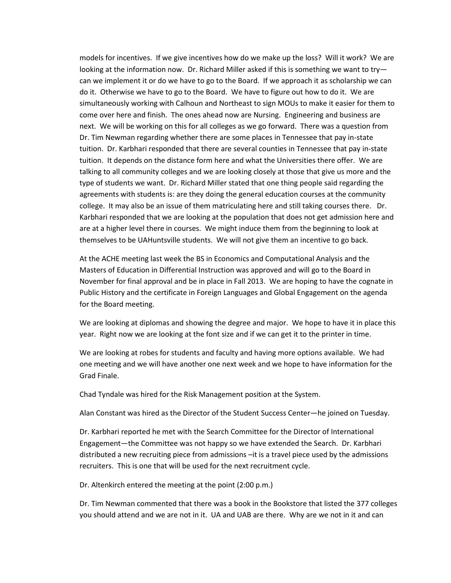models for incentives. If we give incentives how do we make up the loss? Will it work? We are looking at the information now.' Dr. Richard Miller asked if this is something we want to try can we implement it or do we have to go to the Board. If we approach it as scholarship we can do it. Otherwise we have to go to the Board. We have to figure out how to do it. We are simultaneously working with Calhoun and Northeast to sign MOUs to make it easier for them to come over here and finish. The ones ahead now are Nursing. Engineering and business are next. We will be working on this for all colleges as we go forward. There was a question from Dr. Tim Newman regarding whether there are some places in Tennessee that pay in-state tuition.' Dr. Karbhari responded that there are several counties in Tennessee that pay in-state tuition. It depends on the distance form here and what the Universities there offer. We are talking to all community colleges and we are looking closely at those that give us more and the type of students we want. Dr. Richard Miller stated that one thing people said regarding the agreements with students is: are they doing the general education courses at the community college. It may also be an issue of them matriculating here and still taking courses there. Dr. Karbhari responded that we are looking at the population that does not get admission here and are at a higher level there in courses. We might induce them from the beginning to look at themselves to be UAHuntsville students. We will not give them an incentive to go back.

At the ACHE meeting last week the BS in Economics and Computational Analysis and the Masters of Education in Differential Instruction was approved and will go to the Board in November for final approval and be in place in Fall 2013. We are hoping to have the cognate in Public History and the certificate in Foreign Languages and Global Engagement on the agenda for the Board meeting.

We are looking at diplomas and showing the degree and major. We hope to have it in place this year. Right now we are looking at the font size and if we can get it to the printer in time.

We are looking at robes for students and faculty and having more options available. We had one meeting and we will have another one next week and we hope to have information for the Grad Finale.

Chad Tyndale was hired for the Risk Management position at the System.

Alan Constant was hired as the Director of the Student Success Center–he joined on Tuesday.

Dr. Karbhari reported he met with the Search Committee for the Director of International Engagement—the Committee was not happy so we have extended the Search. Dr. Karbhari distributed a new recruiting piece from admissions - it is a travel piece used by the admissions recruiters. This is one that will be used for the next recruitment cycle.

Dr. Altenkirch entered the meeting at the point (2:00 p.m.)

Dr. Tim Newman commented that there was a book in the Bookstore that listed the 377 colleges you should attend and we are not in it. UA and UAB are there. Why are we not in it and can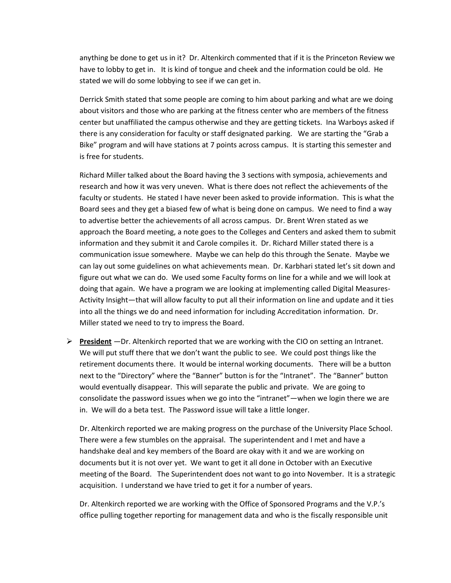anything be done to get us in it? Dr. Altenkirch commented that if it is the Princeton Review we have to lobby to get in. It is kind of tongue and cheek and the information could be old. He stated we will do some lobbying to see if we can get in.

Derrick Smith stated that some people are coming to him about parking and what are we doing about visitors and those who are parking at the fitness center who are members of the fitness center but unaffiliated the campus otherwise and they are getting tickets. Ina Warboys asked if there is any consideration for faculty or staff designated parking. We are starting the "Grab a Bike" program and will have stations at 7 points across campus. It is starting this semester and is free for students.

Richard Miller talked about the Board having the 3 sections with symposia, achievements and research and how it was very uneven. What is there does not reflect the achievements of the faculty or students. He stated I have never been asked to provide information. This is what the Board sees and they get a biased few of what is being done on campus. We need to find a way to advertise better the achievements of all across campus. Dr. Brent Wren stated as we approach the Board meeting, a note goes to the Colleges and Centers and asked them to submit information and they submit it and Carole compiles it. Dr. Richard Miller stated there is a communication issue somewhere. Maybe we can help do this through the Senate. Maybe we can lay out some guidelines on what achievements mean. Dr. Karbhari stated let's sit down and figure out what we can do. We used some Faculty forms on line for a while and we will look at doing that again. We have a program we are looking at implementing called Digital Measures-Activity Insight—that will allow faculty to put all their information on line and update and it ties into all the things we do and need information for including Accreditation information. Dr. Miller stated we need to try to impress the Board.

 $▶$  **President** – Dr. Altenkirch reported that we are working with the CIO on setting an Intranet. We will put stuff there that we don't want the public to see. We could post things like the retirement documents there. It would be internal working documents. There will be a button next to the "Directory" where the "Banner" button is for the "Intranet". The "Banner" button would eventually disappear. This will separate the public and private. We are going to consolidate the password issues when we go into the "intranet"—when we login there we are in. We will do a beta test. The Password issue will take a little longer.

Dr. Altenkirch reported we are making progress on the purchase of the University Place School. There were a few stumbles on the appraisal. The superintendent and I met and have a handshake deal and key members of the Board are okay with it and we are working on documents but it is not over yet. We want to get it all done in October with an Executive meeting of the Board. The Superintendent does not want to go into November. It is a strategic acquisition. I understand we have tried to get it for a number of years.

Dr. Altenkirch reported we are working with the Office of Sponsored Programs and the V.P.'s office pulling together reporting for management data and who is the fiscally responsible unit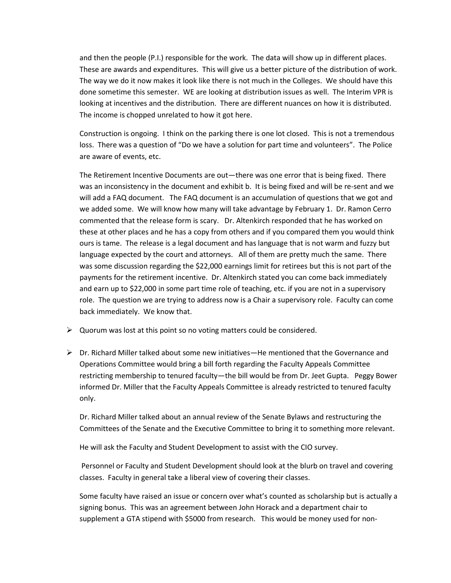and then the people (P.I.) responsible for the work. The data will show up in different places. These are awards and expenditures. This will give us a better picture of the distribution of work. The way we do it now makes it look like there is not much in the Colleges. We should have this done sometime this semester. WE are looking at distribution issues as well. The Interim VPR is looking at incentives and the distribution. There are different nuances on how it is distributed. The income is chopped unrelated to how it got here.

Construction is ongoing. I think on the parking there is one lot closed. This is not a tremendous loss. There was a question of "Do we have a solution for part time and volunteers". The Police are aware of events, etc.

The Retirement Incentive Documents are out—there was one error that is being fixed. There was an inconsistency in the document and exhibit b. It is being fixed and will be re-sent and we will add a FAQ document. The FAQ document is an accumulation of questions that we got and we added some. We will know how many will take advantage by February 1. Dr. Ramon Cerro commented that the release form is scary. Dr. Altenkirch responded that he has worked on these at other places and he has a copy from others and if you compared them you would think ours is tame. The release is a legal document and has language that is not warm and fuzzy but language expected by the court and attorneys. All of them are pretty much the same. There was some discussion regarding the \$22,000 earnings limit for retirees but this is not part of the payments for the retirement incentive. Dr. Altenkirch stated you can come back immediately and earn up to \$22,000 in some part time role of teaching, etc. if you are not in a supervisory role. The question we are trying to address now is a Chair a supervisory role. Faculty can come back immediately. We know that.

- $\triangleright$  Quorum was lost at this point so no voting matters could be considered.
- $▶$  Dr. Richard Miller talked about some new initiatives–He mentioned that the Governance and Operations Committee would bring a bill forth regarding the Faculty Appeals Committee restricting membership to tenured faculty-the bill would be from Dr. Jeet Gupta. Peggy Bower informed Dr. Miller that the Faculty Appeals Committee is already restricted to tenured faculty only.

Dr. Richard Miller talked about an annual review of the Senate Bylaws and restructuring the Committees of the Senate and the Executive Committee to bring it to something more relevant.

He will ask the Faculty and Student Development to assist with the CIO survey.

Personnel or Faculty and Student Development should look at the blurb on travel and covering classes. Faculty in general take a liberal view of covering their classes.

Some faculty have raised an issue or concern over what's counted as scholarship but is actually a signing bonus. This was an agreement between John Horack and a department chair to supplement a GTA stipend with \$5000 from research. This would be money used for non-